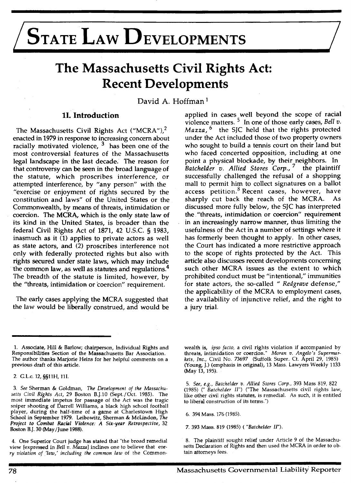# STATE LAW DEVELOPMENTS

# **The Massachusetts Civil Rights Act: Recent Developments**

David A. Hoffman 1

## **11. Introduction**

The Massachusetts Civil Rights Act ("MCRA"),<sup>2</sup> enacted in 1979 in response to increasing concern about racially motivated violence, <sup>3</sup> has been one of the most controversial features of the Massachusetts legal landscape in the last decade. The reason for that controversy can be seen in the broad language of the statute, which proscribes interference, or attempted interference, by "any person" with the "exercise or enjoyment of rights secured by the constitution and laws" of the United States or the Commpnwealth, by means of threats, intimidation or coercion. The MCRA, which is the only state law of its kind in the United States, is broader than the federal Civil Rights Act of 1871, 42 U.S.C. § 1983, inasmuch as it (1) applies to private actors as well as state actors, and (2) proscribes interference not only with federally protected rights but also with rights secured under state laws, which may include the common law, as well as statutes and regulations.<sup>4</sup> The breadth of the statute is limited, however, by the "threats, intimidation or 'coercion" requirement.

The early cases applying the MCRA suggested that the law would be liberally construed, and would be

applied in cases\_ well beyond .the scope of racial violence matters. <sup>5</sup> In one of those early cases, *Bell v*. *Mazza,* 6 the SJC held that the rights protected under the Act included those of two property owners who sought to build a tennis court on their land but who faced concerted opposition, including at one point a physical blockade, by their neighbors. In *Batchelder v. Allied Stores Corp.,* 7 the plaintiff successfully challenged the refusal of a shopping mall to permit him to collect signatures on a ballot access petition.<sup>8</sup> Recent cases, however, have sharply cut back the reach of the MCRA. As discussed more fully below, the SJC has interpreted the "threats, intimidation or coercion" requirement in an increasingly narrow manner, thus limiting the usefulness of the Act in a number of settings where it has formerly been thought to apply. In other cases, the Court has indicated a more restrictive approach to the scope of rights protected by the Act. This article also discusses recent developments concerning such other MCRA issues as the extent to which prohibited conduct must be "intentional," immunities for state actors, the so-called " *Redgrave* defense," the applicability of the MCRA to employment cases, the availability of injunctive relief, and the right to a jury trial.

wealth is, *ipso facto,* a civil rights violation if accompanied by threats, intimidation or coercion." *Moran v. Angelo's Supermarkets, Inc.,* Civil No. 73697 (Suffolk Super. Ct. April 29, 1985) (Young, J.) (emphasis in original), 13 Mass. Lawyers Weekly 1133 (May 13, 195).

5. *See, e.g., Batchelder v. Allied Stores Corp. ,* 393 Mass 819, 822 (1985) (" *Batchelder 11")* ("The Massachusetts civil rights law, like other civil rights statutes, is remedial. As such, it is entitled to liberal construction of its terms.")

6. 394 Mass. 176 (1985).

7. 393 Mass. 819 (1985) ( *"Batchelder* JI").

8. The plaintiff sought relief under Article 9 of the Massachusetts Declaration of Rights and then used the MCRA in order to obtain attorneys fees.

<sup>1.</sup> Associate, Hill & Barlow; chairperson, Individual Rights and Responsibilities Section of the Massachusetts Bar Association. The author thanks Marjorie Heins for her helpful comments on a previous draft of this article.

<sup>2.</sup> G.Lc. 12, §§llH, 111.

<sup>3.</sup> *See* Sherman & Goldman, *The Development of the Massachusetts Civil Rights Act,* 29 Boston B.J.10 (Sept/Oct. 1985). The most immediate impetus for passage of the Act was the tragic sniper shooting of Darrell Williams, a black high school football player, during the half-time of a game at Charlestown High School in September 1979. Leibowitz, Sherman & McLindon, *The Project to Combat Racial Violence: A Six-year Retrospective,* 32 Boston B.J. 30 (May /June 1988).

<sup>4.</sup> One Superior Court judge has stated that "the broad remedial view [expressed in *Bell v. Mazza)* inclines one to believe that *every violation of 'law,' including the common law* of the Common-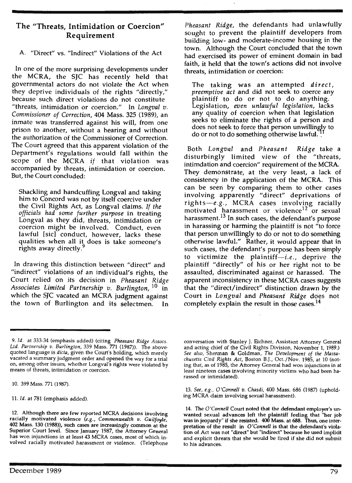# The "Threats, Intimidation or Coercion" Requirement

# A. "Direct" vs. "Indirect" Violations of the Act

In one of the more surprising developments under the MCRA, the SJC has recently held that governmental actors do not violate the Act when they deprive individuals of the rights "directly," because such direct violations do not constitute "threats, intimidation or coercion." In *Longval v. Commissioner of Correction,* 404 Mass. 325 (1989), an inmate was transferred against his will, from one prison to another, without a hearing and without the authorization of the Commissioner of Correction. The Court agreed that this apparent violation of the Department's regulations would fall within the scope of the MCRA *if* that violation was accompanied by threats, intimidation or coercion. But, the Court concluded:

Shackling and handcuffing Longval and taking him to Concord was not by itself coercive under the Civil Rights Act, as Longval claims. *If the officials had some further purpose* in treating Longval as they did, threats, intimidation or coercion might be involved. Conduct, even lawful [sic] conduct, however, lacks these qualities when all it does is take someone's rights away directly.

In drawing this distinction between "direct" and "indirect" violations of an individual's rights, the Court relied on its decision in *Pheasant Ridge Associates Limited Partnership v. Burlington,* 10 in which the SJC vacated an MCRA judgment against the town of Burlington and its selectmen.

*Pheasant Ridge,* the defendants had unlawfully sought to prevent the plaintiff developers from building low- and moderate-income housing in the town. Although the Court concluded that the town had exercised its power of eminent domain in bad faith, it held that the town's actions did not involve threats, intimidation or coercion:

The taking was an attempted *direct, preemptive act* and did not seek to coerce any plaintiff to do or not to do anything. Legislation, *even unlawful legislation,* lacks any quality of coercion when that legislation seeks to eliminate the rights of a person and does not seek to force that person unwillingly to do or not to do something otherwise lawful.

Both *Longval* and *Pheasant Ridge* take a disturbingly limited view of the "threats, intimdation and coercion" requirement of the MCRA. They demonstrate, at the very least, a lack of consistency in the application of the MCRA. This can be seen by comparing them to other cases involving apparently "direct" deprivations of rights-e.g., MCRA cases involving racially motivated harassment or violence<sup>12</sup> or sexual harassment.<sup>13</sup> In such cases, the defendant's purpose in harassing or harming the plaintiff is not "to force that person unwillingly to do or not to do something otherwise lawful." Rather, it would appear that in such cases, the defendant's purpose has been simply to victimize the plaintiff- $i.e.,$  deprive the plaintiff "directly" of his or her right not to be assaulted, discriminated against or harassed. The apparent inconsistency in these MCRA cases suggests that the "direct/indirect" distinction drawn by the Court in *Longval* and *Pheasant Ridge* does not completely explain the result in those cases.<sup>14</sup>

10. 399 Mass. 771 (1987).

11 . *Id.* at 781 (emphasis added).

conversation with Stanley J. Eichner, Assistant Attorney General and acting chief of the Civil Rights Division, November 1, 1989.) *See also,* Sherman & Goldman, *The Development of the Massachusetts Civil Rights Act,* Boston B.J., Oct./Nov. 1985, at 10 (noting that, as of 1985, the Attorney General had won injunctions in at least nineteen cases involving minority victims who had been harassed or intimidated).

13. *See, e.g., O 'Connell v. Chasdi,* 400 Mass. 686 (1987) (upholding MCRA claim involving sexual harassment).

14. The *O 'Connell* Court noted that the defendant employer's unwanted sexual advances left the plaintiff feeling that "her job was in jeopardy" if she resisted. 400 Mass. at 688. Thus, one interpretation of the result in *O'Connell* is that the defendant's violation of Act was not "direct" but "indirect" because he used implicit and explicit threats that she would be fired if she did not submit to his advances.

<sup>9.</sup> *Id .* at 333-34 (emphasis added) (citing *Pheasant Ridge Assocs. Ltd. Partnership v. Burlington,* 339 Mass. 771 (1987)). The abovequoted language is *dicta,* given the Court's holding, which merely vacated a summary judgment order and opened the way for a trial on, among other issues, whether Longval's rights were violated by means of threats, intimidation or coercion.

<sup>12.</sup> Although there are few reported MCRA decisions involving racially motivated violence *(e .g ., Commonwealth v . Guilfoyle,*  402 Mass. 130 (1988)), such cases are increasingly common at the Superior Court level. Since January 1987, the Attorney General has won injunctions in at least 43 MCRA cases, most of which involved racially motivated harassment or violence. (Telephone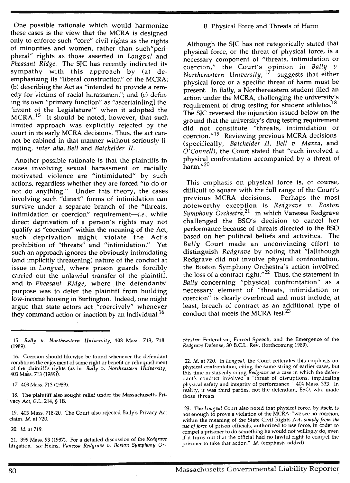One possible rationale which would harmonize these cases is the view that the MCRA is designed only to enforce such "core" civil rights as the rights of minorities and women, rather than such"peripheral" rights as those asserted in *Longval* and *Pheasant Ridge.* The SJC has recently indicated its sympathy with this approach by (a) deemphasizing its "liberal construction" of the MCRA; (b) describing the Act as "intended to provide a remedy for victims of racial harassment"; and (c) defining its own "primary function" as "ascertain[ing] the 'intent of the Legislature'" when it adopted the MCRA.<sup>15</sup> It should be noted, however, that such limited approach was explicitly rejected by the court in its early MCRA decisions. Thus, the act cannot be cabined in that manner without seriously limiting, *inter alia, Bell* and *Batchelder* II.

Another possible rationale is that the plaintiffs in cases involving sexual harassment or racially motivated violence are "intimidated" by such actions, regardless whether they are forced "to do or not do anything." Under this theory, the cases involving such "direct" forms of intimidation can survive under a separate branch of the "threats, intimidation or coercion" requirement-i.e., while direct deprivation of a person's rights may not qualify as "coercion" within the meaning of the Act, such deprivation might violate the Act's prohibition of "threats" and "intimidation." Yet such an approach ignores the obviously intimidating (and implicitly threatening) nature of the conduct at issue in *Longval,* where prison guards forcibly carried out the unlawful transfer of the plaintiff, and in *Pheasant Ridge,* where the defendants' purpose was to deter the plaintiff from building low-income housing in Burlington. Indeed, one might argue that state actors act "coercively" whenever they command action or inaction by an individual.<sup>16</sup>

17. 403 Mass. 713 (1989).

18. The plaintiff also sought relief under the Massachusetts Privacy Act, G.L. 214, § 18.

19. 403 Mass. 718-20. The Court also rejected Baily's Privacy Act claim. *Id.* at 720.

20. *Id.* at 719.

21. 399 Mass. 93 (1987). For a detailed discussion of the *Redgrave*  litigation, *see* Heins, *Vanessa Redgrave v. Boston Symphony Or-*

#### B. Physical Force and Threats of Harm

Although the SJC has not categorically stated that physical force, or the threat of physical force, is a necessary component of "threats, intimidation or coercion," the Court's opinion in *Bally v. Northerastern University,* 17 suggests that either physical force or a specific threat of harm must be present. In *Bally,* a Northereastern student filed an action under the MCRA, challenging the university's requirement of drug testing for student athletes.<sup>18</sup> The SJC reversed the injunction issued below on the ground that the university's drug testing requirement did not constitute "threats, intimidation or coercion."<sup>19</sup> Reviewing previous MCRA decisions (specifically, *Batchelder 11, Bell v. Mazza,* **and**  *O'Connell),* the Court stated that "each involved a physical confrontation accompanied by a threat of harm. $^{\prime\prime 20}$ 

This emphasis on physical force is, of course, difficult to square with the full range of the Court's previous MCRA decisions. Perhaps the most noteworthy exception is *Redgrave v. Boston Symphony Orchestra,21* in which Vanessa Redgrave challenged the BSO's decision to cancel her performance because of threats directed to the BSO based on her political beliefs and activities. The *Bally* Court made an unconvincing effort to distinguish *Redgrave* by noting that "[a]lthough Redgrave did not involve physical confrontation, the Boston Symphony Orchestra's action involved the loss of a contract right. $12^2$  Thus, the statement in *Bally* concerning "physical confrontation" as a necessary element of "threats, intimidation or coercion" is clearly overbroad and must include, at least, breach of contract as an additional type of conduct that meets the MCRA test.<sup>23</sup>

*chestra:* Federalism, Forced Speech, and the Emergence of the *Redgrave* Defense, 30 B.C.L. Rev. (forthcoming 1989).

<sup>15.</sup> *Bally v. Northeastern University,* 403 Mass. 713, 718 (1989).

<sup>16.</sup> Coercion should likewise be found whenever the defendant conditions the enjoyment of some right or benefit on relinquishment of the plaintiff's rights (as in *Bally v. Northeastern University,*  403 Mass. 713 (1989)).

<sup>22.</sup> *Id.* at 720. In *Longval,* the Court reiterates this emphasis on physical confrontation, citing the same string of earlier cases, but this time mistakenly citing *Redgrave* as a case in which the defendant's conduct involved a "threat of disruptions, implicating physical safety and integrity of performance." 404 Mass. 333. In reality, it was third parties, not the defendant, B50, who made those threats.

<sup>23.</sup> The *Longval* Court also noted that physical force, by itself, is not enough to prove a violation of the MCRA; "we see no coercion, within the meaning of the State Civil Rights Act, *simply from the use of force* of prison officials, authorized to use force, in order to compel a prisoner to do something he would not willingly do, even if it turns out that the official had no lawful right to compel the prisoner to take that action." *Id.* (emphasis added).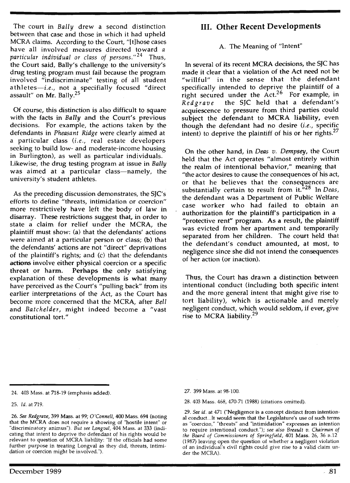The court in *Bally* drew a second distinction between that case and those in which it had upheld MCRA claims. According to the Court, "(t]hose cases have all involved measures directed toward a *particular individual or class of persons."*<sup>24</sup> Thus, the Court said, Baily's challenge to the university's drug testing program must fail because the program involved "indiscriminate" testing of all student athletes-i.e., not a specifially focused "direct assault" on Mr. Bally.<sup>25</sup>

Of course, this distinction is also difficult to square with the facts in *Bally* and the Court's previous decisions. For example, the actions taken by the defendants in *Pheasant Ridge* were clearly aimed at a particular class *(i.e.,* real estate developers seeking to build low- and moderate-income housing in Burlington), as well as particular individuals. Likewise, the drug testing program at issue in *Bally*  was aimed at a particular class-namely, the university's student athletes.

As the preceding discussion demonstrates, the SJC's efforts to define "threats, intimidation or coercion" more restrictively have left the body of law in disarray. These restrictions suggest that, in order to state a claim for relief under the MCRA, the plaintiff must show: (a) that the defendants' actions were aimed at a particular person or class; (b) that the defendants' actions are not "direct" deprivations of the plaintiff's rights; and (c) that the defendants **actions** involve either physical coercion or a specific threat or harm. **Perhaps the** only satisfying explanation of these developments **is what** many have perceived as the Court's "pulling back" from its earlier interpretations of the Act, as the Court has become more concerned that the MCRA, after *Bell*  and *Batchelder,* might indeed become a "vast constitutional tort."

# III. **Other Recent Developments**

#### A. The Meaning of "Intent"

**In** several of its recent **MCRA** decisions, the SJC has made it clear that a violation of the Act need not be "willful" in the sense that the defendant specifically intended to deprive the plaintiff of a right secured under the  $Act.^{26}$  For example, in *Redgrave* the SJC held that a defendant's acquiescence to pressure from third parties could subject the defendant to MCRA liability, even though the defendant had no desire (i.e., specific intent) to deprive the plaintiff of his or her rights.<sup>27</sup>

On the other hand, in *Deas v. Dempsey,* the Court held that the Act operates "almost entirely within the realm of intentional behavior," meaning that "the actor desires to cause the consequences of his act, or that he believes that the consequences are substantially certain to result from it.<sup>"28</sup> In *Deas*. the defendant was a Department of Public Welfare case worker who had failed to obtain an authorization for the plaintiff's participation in a "protective rent" program. As a result, the plaintiff was evicted from her apartment and temporarily separated from her children. The court held that the defendant's conduct amounted, at most, to negligence since she did not intend the consequences of her action (or inaction).

Thus, the Court has drawn a distinction between intentional conduct (including both specific intent and the more general intent that might give rise to tort liability), which is actionable and merely negligent conduct, which would seldom, if ever, give rise to MCRA liability.<sup>29</sup>

25. *ld.at719.* 

27. 399 Mass. at 98-100.

28. 403 Mass. 468, 470-71 (1988) (citations omitted).

29. *See id.* at 471 ("Negligence is **a** concept distinct from intentional conduct... It would seem that the Legislature's use of such terms as "coercion," "threats" and "intimidation" expresses an intention to require intentional conduct."); *see also Breault v. Chairman of the Board of Commissioners of Springfield,* 401 Mass. 26, 36 n.12 (1987) leaving open the question of whether a negligent violation of an individual's civil rights could give rise to a valid claim under the MCRA).

<sup>24. 403</sup> Mass. at 718-19 (emphasis added).

<sup>26.</sup> *See Redgrave,* 399 Mass. at 99; *O'Connell,* 400 Mass. 694 (noting that the MCRA does not require a showing of "hostile intent" or "discriminatory animus"). *But see Longval,* 404 Mass. at 333 (indicating that intent to deprive the defendant of his rights would be relevant to question of MCRA liability: "If the officials had some further purpose in treating Longval as they did, threats, intimidation or coercion might be involved.").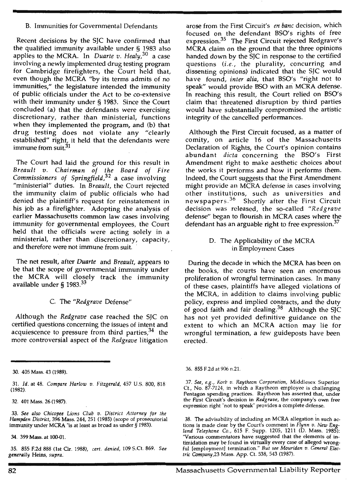#### B. Immunities for Governmental Defendants

Recent decisions by the SJC have confirmed that the qualified immunity available under § 1983 also applies to the MCRA. In *Duarte v . Healy,30* a case involving a newly implemented drug testing program for Cambridge firefighters, the Court held that, even though the MCRA ''by its terms admits of no immunities," the legislature intended the immunity of public officials under the Act to be co-extensive with their immunity under § 1983. Since the Court concluded (a) that the defendants were exercising discretionary, rather than ministerial, functions when they implemented the program, and (b) that drug testing does not violate any "clearly established" right, it held that the defendants were immune from suit.31

The Court had laid the ground for this result in *Breault v . Chairman of the Board of Fire Commissioners of Springfield,*<sup>32</sup>a case involving "ministerial" duties. In *Breault,* the Court rejected the immunity claim of public officials who had denied the plaintiff's request for reinstatement in his job as a firefighter. Adopting the analysis of earlier Massachusetts common law cases involving immunity for governmental employees, the Court held that the officials were acting solely in a ministerial, rather than discretionary, capacity, and therefore were not immune from suit.

The net result, after *Duarte* and *Breault,* appears to be that the scope of governmental immunity under the MCRA will closely track the immunity available under § 1983.<sup>33</sup>

#### C. The *"Redgrave* Defense"

Although the *Redgrave* case reached the SJC on certified questions concerning the issues of intent and acquiescence to pressure from third parties,  $34$  the more controversial aspect of the *Redgrave* litigation

31. *Id.* at 48. *Compare Harlow v. Fitzgerald,* 457 U.S. 800, 818 (1982).

32. 401 Mass. 26 (1987).

33. *See also Chicopee Lions Club v . District Attorney for the Hampden District,* 396 Mass. 244, 251 (1985) (scope of prosecutorial immunity under MCRA "is at least as broad as under § 1983).

34. 399 Mass. at 100-01.

35. 855 F.2d 888 (1st Cir. 1988), *cert. denied,* 109 S.Ct. 869. *See generally* Heins, *supra:* 

arose from the First Circuit's *en bane* decision, which focused on the defendant BSO's rights of free expression.35 The First Circuit rejected Redgrave's MCRA claim on the ground that the three opinions handed down by the SJC in response to the certified questions *(i.e.,* the plurality, concurring and dissenting opinions) indicated that the SJC would have found, *inter alia,* that BSO's "right not to speak" would provide BSO with an MCRA defense. In reaching this result, the Court relied on BSO's claim that threatened disruption by third parties would have substantially compromised the artistic integrity of the cancelled performances.

Although the First Circuit focused, as a matter of comity, on article 16 of the Massachusetts Declaration of Rights, the Court's opinion contains abundant *dicta* concerning the BSO's First Amendment right to make aesthetic choices about the works it performs and how it performs them. Indeed, the Court suggests that the First Amendment might provide an MCRA defense in cases involving other institutions, such as universities and newspapers. 36 Shortly after the First Circuit decision was released, the so-called *"Redgrave*  defense" began to flourish in MCRA cases where the defendant has an arguable right to free expression.<sup>37</sup>

> D. The Applicability of the MCRA in Employment Cases

During the decade in which the MCRA has been on the books, the courts have seen an enormous proliferation of wrongful termination cases. In many of these cases, plaintiffs have alleged violations of the MCRA, in addition to claims involving public policy, express and implied contracts, and the duty of good faith and fair dealing. $38$  Although the SJC has not yet provided definitive guidance on the extent to which an MCRA action may lie for wrongful termination, a few guideposts have been erected .

#### 36. 855 F.2d at 906 n.21.

37. *See, e.g. , Korb v. Raytheon Corporation,* Middlesex Superior Ct., No. 87-7124, in which a Raytheon employee is challenging Pentagon spending practices. Raytheon has asserted that, under the First Circuit's decision in *Redgrave,* the company's own free expression right "not to speak" provides a complete defense.

38. The advisability of including an MCRA allegation in such actions is made clear by the Court's comment in *Flynn v. New England Telephone Co.,* 615 F. Supp. 1205, 1211 (D. Mass. 1985): "Various commentators have suggested that the elements of intimidation may be found in virtually every case of alleged wrongful [employment] termination." *But see Mouridan v. General Electric Company,23* Mass. App. Ct. 538, 543 (1987).

<sup>30. 405</sup> **Mass.** 43 (1989).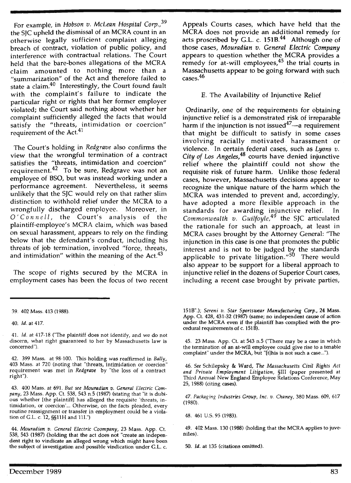For example, in *Hobson v. McLean Hospital Corp.,<sup>39</sup>* the SJC upheld the dismissal of an MCRA count in an otherwise legally sufficient complaint alleging breach of contract, violation of public policy, and interference with contractual relations. The Court held that the bare-bones allegations of the MCRA claim amounted to nothing more than a "summarization" of the Act and therefore failed to state a claim.<sup>40</sup> Interestingly, the Court found fault with the complaint's failure to indicate the particular right or rights that her former employer violated; the Court said nothing about whether her complaint sufficiently alleged the facts that would satisfy the "threats, intimidation or coercion" requirement of the Act.<sup>41</sup>

The Court's holding in *Redgrave* also confirms the view that the wrongful termination of a contract satisfies the "threats, intimidation and coercion" requirement.<sup>42</sup> To be sure, Redgrave was not an employee of BSO, but was instead working under a performance agreement. Nevertheless, it seems unlikely that the SJC would rely on that rather slim distinction to withhold relief under the MCRA to a wrongfully discharged employee. Moreover, in *O ' Connell,* the Court's analysis of the plaintiff-employee's MCRA claim, which was based on sexual harassment, appears to rely on the finding below that the defendant's conduct, including his threats of job termination, involved "force, threats, and intimidation" within the meaning of the Act. $43$ 

The scope of rights secured by the MCRA in employment cases has been the focus of two recent Appeals Courts cases, which have held that the MCRA does not provide an additional remedy for acts proscribed by G.L. c.  $151B<sup>44</sup>$  Although one of those cases, *Mouradian v. General Electric Company*  appears to question whether the MCRA provides a remedy for at-will employees,<sup>45</sup> the trial courts in Massachusetts appear to be going forward with such cases.<sup>46</sup>

## E. The Availability of Injunctive Relief

Ordinarily, one of the requirements for obtaining injunctive relief is a demonstrated risk of irreparable harm if the injunction is not issued<sup>47</sup>—a requirement that might be difficult to satisfy in some cases involving racially motivated harassment or violence. In certain federal cases, such as *Lyons v. City of Los Angeles,48* courts have denied injunctive relief where the plaintiff could not show the requisite risk of future harm. Unlike those federal cases, however, Massachusetts decisions appear to recognize the unique nature of the harm which the MCRA was intended to prevent and, accordingly, have adopted a more flexible approach in the standards for awarding injunctive relief. Commonwealth v. Guilfoyle,<sup>49</sup> the SJC articulated the rationale for such an approach, at least in MCRA cases brought by the Attorney General: "The injunction in this case is one that promotes the public interest and is not to be judged by the standards applicable to private litigation."<sup>50</sup> There would also appear to be support for a liberal approach to injunctive relief in the dozens of Superior Court cases, including a recent case brought by private parties,

45. 23 Mass. App. Ct. at 543 n.5 ("There may be a case in which the termination of an at-will employee could give rise to a tenable complaint" under the MCRA, but "[t]his is not such a case...").

46. *See* Schilepsky & Ward, *The Massachusetts Civil Rights Act and Private Employment Litigation,* §III (paper presented at Third Annual New England Employee Relations Conference, May 25, 1988) (citing cases).

47. *Packaging Industries Group, lnc. v. Chaney,* 380 Mass. 609, 617 (1980).

49. 402 Mass. 130 (1988) (holding that the **MCRA** applies to juveniles).

50. *Id.* at 135 (citations omitted).

<sup>39. 402</sup> Mass. 413 (1988).

<sup>40.</sup> *Id.* at 417.

<sup>41.</sup> *ld.* at 417-18 ("The plaintiff does not identify, and we do not discern, what right guaranteed to her by Massachusetts law is concerned").

<sup>42. 399</sup> Mass. at 98-100. This holding was reaffirmed in *Bally,*  403 Mass. at 720 (noting that "threats, intimidation or coercion" requirement was met in *Redgrave* by "the loss of a contract right").

<sup>43. 400</sup> Mass. at 691. *But see Mouradian v. General Electric Company,* 23 Mass. App. Ct. 538, 543 n.5 (1987) (stating that "it is dubious whether [the plaintiff] has alleged the requisite 'threats, intimidation, or coercion'... Otherwise, on the facts pleaded, every routine reassignment or transfer in employment could be a violation of G.L. c. 12, §§11H and 111.")

**<sup>44.</sup>** *Mouradian v. General Electric Coompany,* 23 Mass. App. Ct. 538, 543 (1987) (holding that the act does not "create an independent right to vindicate an alleged wrong which might have been the subject of investigation and possible vindication under G.L. c.

<sup>1518&</sup>quot;.); *Sereni v. Star Sportswear Manufacturing Corp.,* 24 Mass. App. Ct. 428, 431-32 (1987) (same; no independent cause of action under the MCRA even if the plaintiff has complied with the procedural requirements of c. 151 B).

<sup>48. 461</sup> U.S. 95 (1983).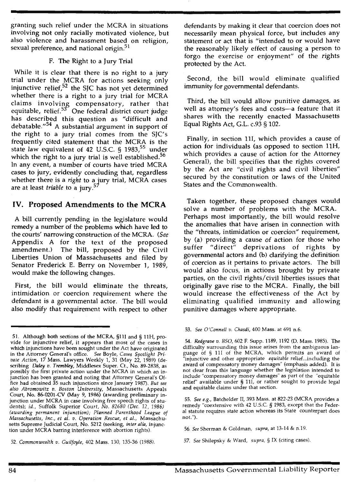granting such relief under the MCRA in situations involving not only racially motivated violence, but also violence and harassment based on religion, sexual preference, and national origin.<sup>51</sup>

#### F. The Right to a Jury Trial

While it is clear that there is no right to a jury trial under the MCRA for actions seeking only injunctive relief, $52$  the SJC has not yet determined whether there is a right to a jury trial for MCRA claims involving compensatory, rather that equitable, relief.<sup>53</sup> One federal district court judge has described this question as "difficult and debatable."54 A substantial argument in support of the right to a jury trial comes from the SJC's frequently cited statement that the MCRA is the state law equivalent of 42 U.S.C. § 1983,<sup>55</sup> under which the right to a jury trial is well established.<sup>56</sup> In any event, a number of courts have tried MCRA cases to jury, evidently concluding that, regardless whether there is a *right* to a jury trial, MCRA cases are at least *triable* to a jury.<sup>5</sup>

# **IV. Proposed Amendments to the MCRA**

A bill currently pending in the legislature would remedy a number of the problems which have led to the courts' narrowing construction of the MCRA. *(See*  Appendix A for the text of the proposed amendment.) The bill, proposed by the Civil Liberties Union of Massachusetts and filed by Senator Frederick E. Berry on November 1, 1989, would make the following changes.

First, the bill would eliminate the threats, intimidation or coercion requirement where the defendant is a governmental actor. The bill would also modify that requirement with respect to other

52. *Commonwealth v . Guilfoyle,* 402 Mass. 130, 135-36 (1988).

defendants by making it clear that coercion does not necessarily mean physical force, but includes any statement or act that is "intended to or would have the reasonably likely effect of causing a person to forgo the exercise or enjoyment" of the rights protected by the Act.

Second, the bill would eliminate qualified immunity for governmental defendants.

Third, the bill would allow punitive damages, as well as attorney's fees and costs-a feature that it shares with the recently enacted Massachusetts Equal Rights Act, G.L. c.93 § 102.

Finally, in section 111, which provides a cause of action for individuals (as opposed to section 11H, which provides a cause of action for the Attorney General), the bill specifies that the rights covered by the Act are "civil rights and civil liberties" secured by the constitution or laws of the United States and the Commonwealth.

Taken together, these proposed changes would solve a number of problems with the MCRA. Perhaps most importantly, the bill would resolve the anomalies that have arisen in connection with the "threats, intimidation or coercion" requirement, by (a) providing a cause of action for those who suffer "direct" deprivations of rights by governmental actors and (b) clarifying the definition of coercion as it pertains to private actors. The bill would also focus, in actions brought by private parties, on the civil rights/ civil liberties issues that originally gave rise to the MCRA. Finally, the bill would increase the effectiveness of the Act by eliminating qualified immunity and allowing punitive damages where appropriate.

53. *See O'Connell v. Chasdi,* 400 Mass. at 691 n.6.

<sup>51.</sup> Although both sections of the MCRA, §111 and§ 11H, provide for injunctive relief, it appears that most of the cases in which injunctions have been sought under the Act have originated m the Attorney General's office. *See* Boyle, *Cases Spotlight Private Action,* 17 Mass. Lawyers Weekly 1, 31 (May 22, 1989) (describing *Daley v. Trembley,* Middlesex Super. Ct., No. 89-2838, as possibly the first private action under the MCRA in which an injunction has been granted and noting that Attorney General's Office had obtained 35 such injunctions since January 1987). *But see also Abramowitz v. Boston University,* Massachusetts Appeals Court, No. 86-0201-CV (May 9, 1986) (awarding preliminary injunction under MCRA in case involving free speech rights of students); *id.,* Suffolk Superior *Court, No. 82680 (Dec.* 12, *1986) (awarding permanent injunction); Planned Parenthood League of Massachusetts, Inc., et al. v. Operation Rescue, et al.,* Massachusetts Supreme Judicial Court, No. 5212 (seeking, *inter alia*, *injunc*tion under MCRA barring interference with abortion rights).

<sup>54.</sup> *Redgrave v. 1350,* 602 F. Supp. 1189, 1192 (D. Mass. 1985). The difficulty surrounding this issue arises from the ambiguous language of § 11I of the MCRA, which permits an award of "'injunctive and other appropriate *equitable* relief...including the award of compensatory money damages" (emphasis added). It is not clear from this language whether the legislation intended to include "compensatory money damages" as part of the "equitable relief" available under § 111, or rather sought to provide legal and equitable claims under that section.

<sup>55.</sup> *See e.g.,* Batchelder II, 393 Mass. at 822-23 (MCRA provides a remedy "coextensive with 42 U.S.C. § 1983, except that the Federal statute requires state action whereas its State counterpart does not.").

<sup>56.</sup> *See* Sherman & Goldman, *supra,* at 13-14 & n.19.

<sup>57.</sup> *See* Shilepsky & Ward, *supra,* § IX (citing cases).